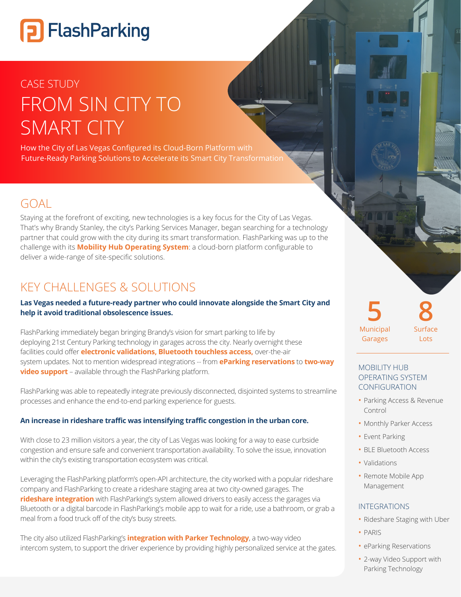# **P** FlashParking

## CASE STUDY FROM SIN CITY TO **SMART CITY**

How the City of Las Vegas Configured its Cloud-Born Platform with Future-Ready Parking Solutions to Accelerate its Smart City Transformation

## $GOA$

Staying at the forefront of exciting, new technologies is a key focus for the City of Las Vegas. That's why Brandy Stanley, the city's Parking Services Manager, began searching for a technology partner that could grow with the city during its smart transformation. FlashParking was up to the challenge with its **Mobility Hub Operating System**: a cloud-born platform configurable to deliver a wide-range of site-specific solutions.

## KEY CHALLENGES & SOLUTIONS

#### **Las Vegas needed a future-ready partner who could innovate alongside the Smart City and help it avoid traditional obsolescence issues.**

FlashParking immediately began bringing Brandy's vision for smart parking to life by deploying 21st Century Parking technology in garages across the city. Nearly overnight these facilities could offer **electronic validations, Bluetooth touchless access,** over-the-air system updates. Not to mention widespread integrations -- from **eParking reservations** to **two-way video support** – available through the FlashParking platform.

FlashParking was able to repeatedly integrate previously disconnected, disjointed systems to streamline processes and enhance the end-to-end parking experience for guests.

#### **An increase in rideshare traffic was intensifying traffic congestion in the urban core.**

With close to 23 million visitors a year, the city of Las Vegas was looking for a way to ease curbside congestion and ensure safe and convenient transportation availability. To solve the issue, innovation within the city's existing transportation ecosystem was critical.

Leveraging the FlashParking platform's open-API architecture, the city worked with a popular rideshare company and FlashParking to create a rideshare staging area at two city-owned garages. The **rideshare integration** with FlashParking's system allowed drivers to easily access the garages via Bluetooth or a digital barcode in FlashParking's mobile app to wait for a ride, use a bathroom, or grab a meal from a food truck off of the city's busy streets.

The city also utilized FlashParking's **integration with Parker Technology**, a two-way video intercom system, to support the driver experience by providing highly personalized service at the gates. Municipal Garages **5 8**

Surface Lots

#### MOBILITY HUB OPERATING SYSTEM CONFIGURATION

- Parking Access & Revenue Control
- Monthly Parker Access
- Event Parking
- BLE Bluetooth Access
- Validations
- Remote Mobile App Management

#### INTEGRATIONS

- Rideshare Staging with Uber
- PARIS
- eParking Reservations
- 2-way Video Support with Parking Technology